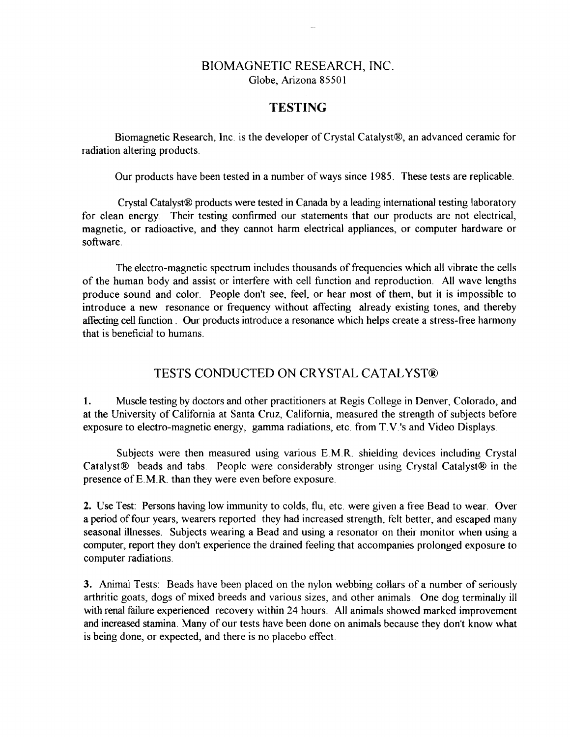## BIOMAGNETIC RESEARCH, INC. Globe, Arizona 85501

## **TESTING**

Biomagnetic Research, Inc. is the developer of Crystal Catalyst®, an advanced ceramic for radiation altering products.

Our products have been tested in a number of ways since 1985. These tests are replicable.

Crystal Catalyst® products were tested in Canada by a leading international testing laboratory for clean energy. Their testing confirmed our statements that our products are not electrical, magnetic, or radioactive, and they cannot harm electrical appliances, or computer hardware or software.

The electro-magnetic spectrum includes thousands of frequencies which all vibrate the cells of the human body and assist or interfere with cell function and reproduction. All wave lengths produce sound and color. People don't see, feel, or hear most of them, but it is impossible to introduce a new resonance or frequency without affecting already existing tones, and thereby affecting cell function. Our products introduce a resonance which helps create a stress-free harmony that is beneficial to humans.

## TESTS CONDUCTED ON CRYSTAL CATALYST®

1. Muscle testing by doctors and other practitioners at Regis College in Denver, Colorado, and at the University of California at Santa Cruz, California, measured the strength of subjects before exposure to electro-magnetic energy, gamma radiations, etc. from T. V.'s and Video Displays.

Subjects were then measured using various E.M.R. shielding devices including Crystal Catalyst® beads and tabs. People were considerably stronger using Crystal Catalyst® in the presence ofE.M.R. than they were even before exposure.

**2.** Use Test: Persons having low immunity to colds, flu, etc. were given a free Bead to wear. Over a period of four years, wearers reported they had increased strength, felt better, and escaped many seasonal illnesses. Subjects wearing a Bead and using a resonator on their monitor when using a computer, report they don't experience the drained feeling that accompanies prolonged exposure to computer radiations.

**3.** Animal Tests: Beads have been placed on the nylon webbing collars of a number of seriously arthritic goats, dogs of mixed breeds and various sizes, and other animals. One dog terminally ill with renal failure experienced recovery within 24 hours. All animals showed marked improvement and increased stamina. Many of our tests have been done on animals because they don't know what is being done, or expected, and there is no placebo effect.